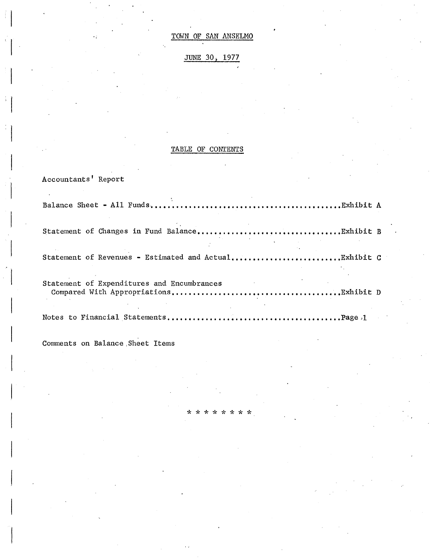# JUNE 30, 1977

# TABLE OF CONTENTS

| Accountants' Report                        |
|--------------------------------------------|
|                                            |
|                                            |
|                                            |
| Statement of Expenditures and Encumbrances |
|                                            |

 $* *$ 

4 مید می  $\mathbf{x}$ 

Comments on Balance Sheet Items

 $\frac{1}{2}$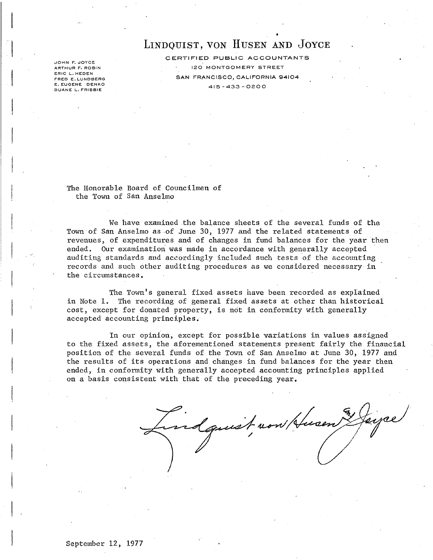# LINDQUIST, VON HUSEN AND JOYCE

JOHN F. JOYCE ARTHUR F. ROBIN ERIC L. HEDEN FRED E. LUNDBERG E. EUGENE DENKO DUANE L. FRISBIE

CERTIFIED PUBLIC ACCOUNTANTS 120 MONTGOM ERY STREET SAN FRANCISCO, CALIFORNIA 94104 415-433-0200

The Honorable Board of Councilmen of the Town of San Anselmo

We have examined the balance sheets of the several funds of the Town of San Anselmo as ·of June 30, 1977 and the related statements of revenues, of expenditures and of changes in fund balances for the year then ended. Our examination was made in accordance with generally accepted auditing standards and accordingly included such tests of the accounting records and such other auditing procedures as we considered necessary in the circumstances.

The Town's general fixed assets have been recorded as explained in Note 1. The recording of general fixed assets at other than historical cost, except for donated property, is not in conformity with generally accepted accounting principles.

In our opinion, except for possible variations in values assigned to the fixed assets, the aforementioned statements present fairly the financial position of the several funds of the Town of San Anselmo at June 30, 1977 and the results of its operations and changes in fund balances for the year then ended, in conformity with generally accepted accounting principles applied on a basis consistent with that of the preceding year.

dquist now Husen Layce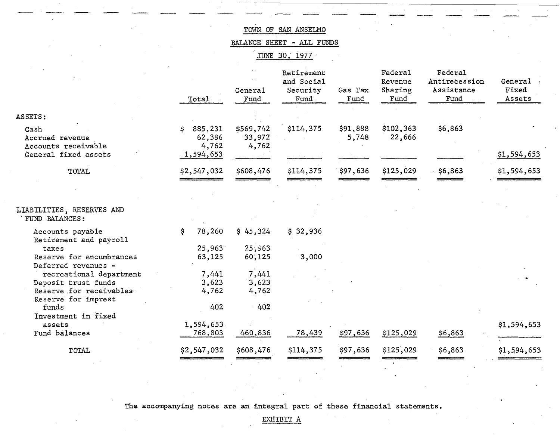BALANCE SHEET - ALL FUNDS

JUNE 30, 1977

|                                                 | Total                            | General<br>Fund              | Retirement<br>and Social<br>Security<br>Fund | Gas Tax<br>Fund   | Federal<br>Revenue<br>Sharing<br>Fund | Federal<br>Antirecession<br>Assistance<br>Fund | General<br>Fixed<br>Assets |
|-------------------------------------------------|----------------------------------|------------------------------|----------------------------------------------|-------------------|---------------------------------------|------------------------------------------------|----------------------------|
| ASSETS:                                         |                                  |                              |                                              |                   |                                       |                                                |                            |
| Cash<br>Accrued revenue<br>Accounts receivable  | 885,231<br>S.<br>62,386<br>4,762 | \$569,742<br>33,972<br>4,762 | \$114,375                                    | \$91,888<br>5,748 | \$102,363<br>22,666                   | \$6,863                                        |                            |
| General fixed assets                            | 1,594,653                        |                              |                                              |                   |                                       |                                                | \$1,594,653                |
| <b>TOTAL</b>                                    | \$2,547,032                      | \$608,476                    | \$114,375                                    | \$97,636          | \$125,029                             | $.$ \$6,863                                    | \$1,594,653                |
|                                                 |                                  |                              |                                              |                   |                                       |                                                |                            |
| LIABILITIES, RESERVES AND<br>FUND BALANCES:     |                                  |                              |                                              |                   |                                       |                                                |                            |
| Accounts payable<br>Retirement and payroll      | 78,260<br>S                      | \$45,324                     | \$32,936                                     |                   |                                       |                                                |                            |
| taxes                                           | 25,963                           | 25,963                       |                                              |                   |                                       |                                                |                            |
| Reserve for encumbrances<br>Deferred revenues - | 63,125                           | 60,125                       | 3,000                                        |                   |                                       |                                                |                            |
| recreational department                         | 7,441                            | 7,441                        |                                              |                   |                                       |                                                |                            |
| Deposit trust funds                             | 3,623                            | 3,623                        |                                              |                   |                                       |                                                |                            |
| Reserve for receivables                         | 4,762                            | 4,762                        |                                              |                   |                                       |                                                |                            |
| Reserve for imprest<br>funds                    | 402                              | 402                          |                                              |                   |                                       |                                                |                            |
| Investment in fixed                             |                                  |                              |                                              |                   |                                       |                                                |                            |
| assets                                          | 1,594,653                        |                              |                                              |                   |                                       |                                                | \$1,594,653                |
| Fund balances                                   | 768,803                          | 460,836                      | 78,439                                       | \$97,636          | \$125,029                             | \$6,863                                        |                            |
| TOTAL                                           | \$2,547,032                      | \$608,476                    | \$114,375                                    | \$97,636          | \$125,029                             | \$6,863                                        | \$1,594,653                |
|                                                 |                                  |                              |                                              |                   |                                       |                                                |                            |

The accompanying notes are an integral part of these financial statements.

EXHIBIT A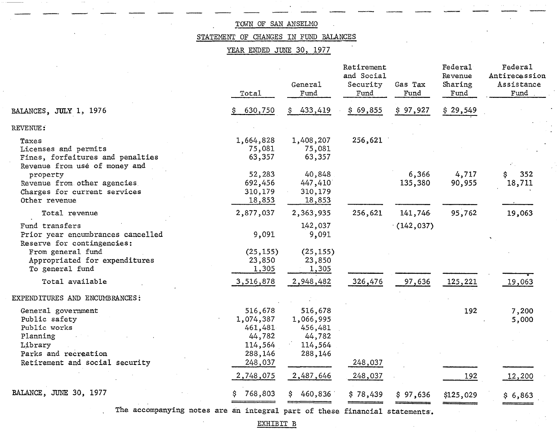# STATEMENT OF CHANGES IN FUND BALANCES

YEAR ENDED JUNE 30, 1977

|                                                                                                    | Total                                     | General<br>Fund                           | Retirement<br>and Social<br>Security<br>Fund | Gas Tax<br>Fund  | Federal<br>Revenue<br>Sharing<br>Fund | Federal<br>Antirecession<br>Assistance<br>Fund |
|----------------------------------------------------------------------------------------------------|-------------------------------------------|-------------------------------------------|----------------------------------------------|------------------|---------------------------------------|------------------------------------------------|
| BALANCES, JULY 1, 1976                                                                             | 630,750                                   | 433,419                                   | \$69,855                                     | \$97,927         | \$29,549                              |                                                |
| REVENUE:                                                                                           |                                           |                                           |                                              |                  |                                       |                                                |
| Taxes<br>Licenses and permits<br>Fines, forfeitures and penalties<br>Revenue from use of money and | 1,664,828<br>75,081<br>63,357             | 1,408,207<br>75,081<br>63,357             | 256,621                                      |                  |                                       |                                                |
| property<br>Revenue from other agencies<br>Charges for current services<br>Other revenue           | 52,283<br>692,456<br>310,179<br>18,853    | 40,848<br>447,410<br>310,179<br>18,853    |                                              | 6,366<br>135,380 | 4,717<br>90,955                       | 352<br>\$.<br>18,711                           |
| Total revenue                                                                                      | 2,877,037                                 | 2,363,935                                 | 256,621                                      | 141,746          | 95,762                                | 19,063                                         |
| Fund transfers<br>Prior year encumbrances cancelled<br>Reserve for contingencies:                  | 9,091                                     | 142,037<br>9,091                          |                                              | (142, 037)       |                                       |                                                |
| From general fund<br>Appropriated for expenditures<br>To general fund                              | (25, 155)<br>23,850<br>1,305              | (25, 155)<br>23,850<br>1,305              |                                              |                  |                                       |                                                |
| Total available                                                                                    | 3,516,878                                 | 2,948,482                                 | 326,476                                      | 97,636           | 125,221                               | 19,063                                         |
| EXPENDITURES AND ENCUMBRANCES:                                                                     |                                           |                                           |                                              |                  |                                       |                                                |
| General government<br>Public safety<br>Public works<br>Planning                                    | 516,678<br>1,074,387<br>461,481<br>44,782 | 516,678<br>1,066,995<br>456,481<br>44,782 |                                              |                  | 192                                   | 7,200<br>5,000                                 |
| Library<br>Parks and recreation<br>Retirement and social security                                  | 114,564<br>288,146<br>248,037             | 114,564<br>288,146                        | 248,037                                      |                  |                                       |                                                |
|                                                                                                    | 2,748,075                                 | 2,487,646                                 | 248,037                                      |                  | 192                                   | 12,200                                         |
| BALANCE, JUNE 30, 1977                                                                             | 768,803                                   | 460,836<br>S.                             | \$78,439                                     | \$97,636         | \$125,029                             | \$6,863                                        |
|                                                                                                    |                                           |                                           |                                              |                  |                                       |                                                |

The accompanying notes are an integral part of these financial statements.

EXHIBIT B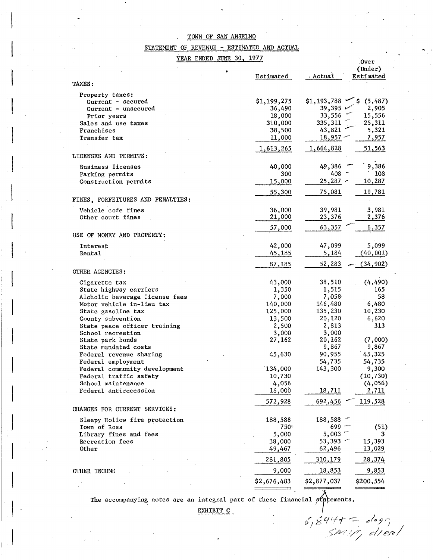## STATEMENT OF REVENUE - ESTIMATED AND ACTUAL

YEAR ENDED JUNE 30, 1977

| <i>ווכ</i> ו <sub>ל</sub> טכ ממוטר שמעות ILMK |             |                     | Over.         |
|-----------------------------------------------|-------------|---------------------|---------------|
|                                               |             |                     | (Under)       |
|                                               | Estimated   | Actual.             | Estimated     |
| <b>TAXES:</b>                                 |             |                     |               |
| Property taxes:                               |             |                     |               |
| Current - secured                             | \$1,199,275 | $$1,193,788$ $\sim$ | (5,487)<br>\$ |
| Current - unsecured                           | 36,490      | 39,395 $\approx$    | 2,905         |
| Prior years                                   | 18,000      | 33,556              | 15,556        |
| Sales and use taxes                           | 310,000     | 335,311             | 25,311        |
| Franchises                                    | 38,500      | 43,821              | 5,321         |
| Transfer tax                                  | 11,000      | 18,957              | 7,957         |
|                                               |             |                     |               |
|                                               | 1,613,265   | 1,664,828           | 51,563        |
| LICENSES AND PERMITS:                         |             |                     |               |
| <b>Business licenses</b>                      | 40,000      | 49,386              | 9,386         |
| Parking permits                               | 300         | $408 -$             | 108           |
| Construction permits                          | 15,000      | $25,287$ -          | 10,287        |
|                                               |             |                     |               |
|                                               | 55,300      | <u>75,081</u>       | 19,781        |
| FINES, FORFEITURES AND PENALTIES:             |             |                     |               |
| Vehicle code fines                            | 36,000      | 39,981              | 3,981         |
| Other court fines                             | 21,000      | 23,376              | 2,376         |
|                                               |             |                     |               |
|                                               | 57,000      | 63,357              | 6,357         |
| USE OF MONEY AND PROPERTY:                    |             |                     |               |
| Interest                                      | 42,000      | 47,099              | 5,099         |
| Rental                                        | 45,185      | 5,184               | (40, 001)     |
|                                               |             |                     |               |
|                                               | 87,185      | 52,283              | (34, 902)     |
| OTHER AGENCIES:                               |             |                     |               |
| Cigarette tax                                 | 43,000      | 38,510              | (4, 490)      |
| State highway carriers                        | 1,350       | 1,515               | 165           |
| Alcholic beverage license fees                | 7,000       | 7,058               | 58            |
| Motor vehicle in-lieu tax                     | 140,000     | 146,480             | 6,480         |
|                                               |             | 135,230             | 10,230        |
| State gasoline tax                            | 125,000     |                     |               |
| County subvention                             | 13,500      | 20,120              | 6,620         |
| State peace officer training                  | 2,500       | 2,813               | 313           |
| School recreation                             | 3,000       | 3,000               |               |
| State park bonds                              | 27,162      | 20,162              | (7,000)       |
| State mandated costs                          |             | 9,867               | 9,867         |
| Federal revenue sharing                       | 45,630      | 90,955              | 45,325        |
| Federal employment                            |             | 54,735              | 54,735        |
| Federal community development                 | 134,000     | 143,300             | 9,300         |
| Federal traffic safety                        | 10,730      |                     | (10, 730)     |
| School maintenance                            | 4,056       |                     | (4,056)       |
| Federal antirecession                         | 16,000      | <u>18,711</u>       | 2,711         |
|                                               |             | 692,456             | 119,528       |
|                                               | 572,928     |                     |               |
| CHANGES FOR CURRENT SERVICES:                 |             |                     |               |
| Sleepy Hollow fire protection                 | 188,588     | 188,588             |               |
| Town of Ross                                  | 750 -       | 699                 | (51)          |
| Library fines and fees                        | 5,000       | 5,003               | 3             |
| Recreation fees                               | 38,000      | 53,393              | 15,393        |
| <b>Other</b>                                  | 49,467      | 62,496              | 13,029        |
|                                               |             |                     |               |
|                                               | 281,805     | 310,179             | 28,374        |
| OTHER INCOME                                  | 9,000       | 18,853              | 9,853         |
|                                               |             |                     |               |
|                                               | \$2,676,483 | \$2,877,037         | \$200,554     |

The accompanying notes are an integral part of these financial statements.

EXHIBIT C

*e:/"',J{j*  c//~/e/

...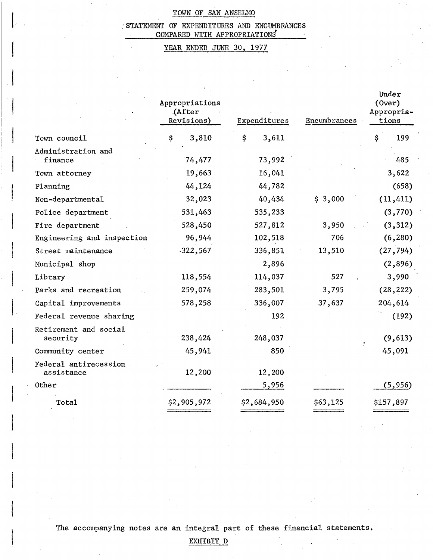## 'STATEMENT OF EXPENDITURES AND ENCUMBRANCES . COMPARED WITH APPROPRIATIONS

# YEAR ENDED JUNE 30, 1977

|                                     | Appropriations<br>(After<br>Revisions) | Expenditures | Encumbrances | Under<br>(0ver)<br>Appropria-<br>tions |
|-------------------------------------|----------------------------------------|--------------|--------------|----------------------------------------|
| Town council                        | 3,810<br>\$                            | \$<br>3,611  |              | \$<br>199                              |
| Administration and<br>finance       | 74,477                                 | 73,992       |              | 485                                    |
| Town attorney                       | 19,663                                 | 16,041       |              | 3,622                                  |
| Planning                            | 44,124                                 | 44,782       |              | (658)                                  |
| Non-departmental                    | 32,023                                 | 40,434       | \$3,000      | (11, 411)                              |
| Police department                   | 531,463                                | 535,233      |              | (3,770)                                |
| Fire department                     | 528,450                                | 527,812      | 3,950        | (3, 312)                               |
| Engineering and inspection          | 96,944                                 | 102,518      | 706          | (6, 280)                               |
| Street maintenance                  | $-322,567$                             | 336,851      | 13,510       | (27, 794)                              |
| Municipal shop                      |                                        | 2,896        |              | (2, 896)                               |
| Library                             | 118,554                                | 114,037      | 527          | 3,990                                  |
| Parks and recreation                | 259,074                                | 283,501      | 3,795        | (28, 222)                              |
| Capital improvements                | 578,258                                | 336,007      | 37,637       | 204,614                                |
| Federal revenue sharing             |                                        | 192          |              | (192)                                  |
| Retirement and social<br>security   | 238,424                                | 248,037      |              | (9, 613)                               |
| Community center                    | 45,941                                 | 850          |              | 45,091                                 |
| Federal antirecession<br>assistance | 12,200                                 | 12,200       |              |                                        |
| Other                               |                                        | 5,956        |              | (5, 956)                               |
| Total                               | \$2,905,972                            | \$2,684,950  | \$63,125     | \$157,897                              |

The accompanying notes are an integral part of these financial statements.

EXHIBIT D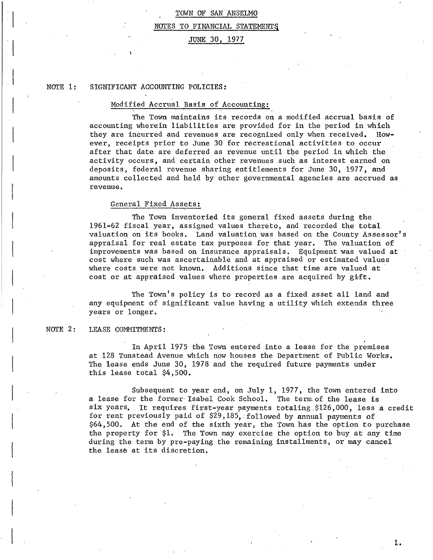# TOWN OF SAN ANSELMO NOTES TO FINANCIAL STATEMENT§

## JUNE 30, 1977

#### NOTE 1: SIGNIFICANT ACCOUNTING POLICIES:

## Modified Accrual Basis of Accounting:

The Town maintains its records on a modified accrual basis of accounting wherein liabilities are provided for in the period in which they are incurred and revenues are recognized only when received. However, receipts prior to June 30 for recreational activities to occur after that date are deferred as revenue until the period in which the activity occurs, and certain other revenues such as interest earned on deposits, federal revenue sharing entitlements for June 30, 1977, and amounts collected and held by other governmental agencies are accrued as revenue.

## General Fixed Assets:

The Town inventoried its general fixed assets during the 1961-62 fiscal year, assigned values thereto, and recorded the total valuation on its books. Land valuation was based on the County Assessor's appraisal for real estate tax purposes for that year. The valuation of improvements was based on insurance appraisals. Equipment was valued at cost where such was ascertainable and at appraised or estimated values where costs were not known. Additions since that time are valued at cost or at appraised values where properties are acquired by  $g$ ift.

The Town's policy is to record as a fixed asset all land and any equipment of significant value having a utility which extends three years or longer.

#### NOTE 2: LEASE COMMITMENTS:

In April 1975 the Town entered into a lease for the premises at 128 Tunstead Avenue which now houses the Department of Public Works. The lease ends June 30, 1978 and the required future payments under this lease total \$4,500.

Subsequent to year end, on July 1, 1977, the Town entered into a lease for the former Isabel Cook School. The term of the lease is six years. It requires first-year payments totaling \$126,000, less a credit for rent previously paid of \$29,185, followed by annual payments of \$64,500. At the end of the sixth year, the Town has the option to purchase the property for \$1. The Town may exercise the option to buy at any time during the term by pre-paying the remaining installments, or may cancel the lease at its discretion.